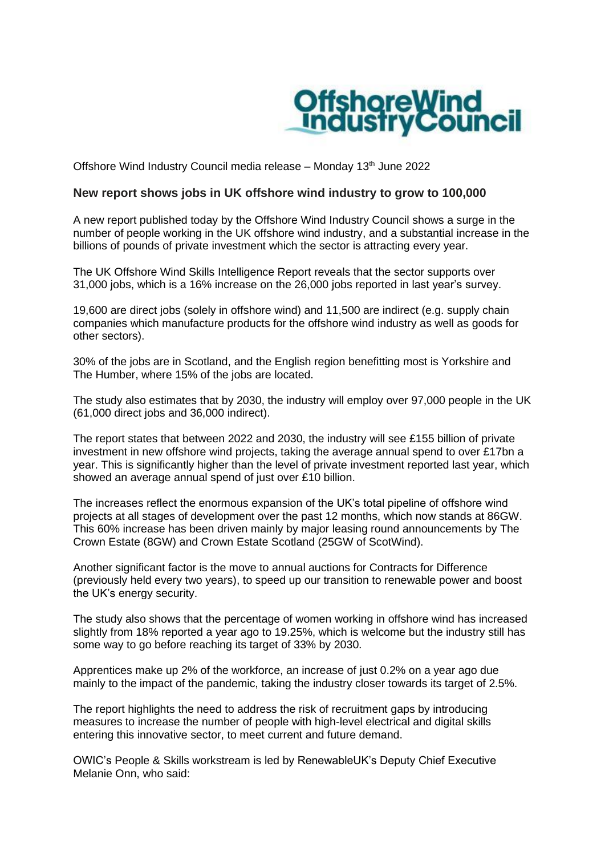

Offshore Wind Industry Council media release – Monday 13<sup>th</sup> June 2022

## **New report shows jobs in UK offshore wind industry to grow to 100,000**

A new report published today by the Offshore Wind Industry Council shows a surge in the number of people working in the UK offshore wind industry, and a substantial increase in the billions of pounds of private investment which the sector is attracting every year.

The UK Offshore Wind Skills Intelligence Report reveals that the sector supports over 31,000 jobs, which is a 16% increase on the 26,000 jobs reported in last year's survey.

19,600 are direct jobs (solely in offshore wind) and 11,500 are indirect (e.g. supply chain companies which manufacture products for the offshore wind industry as well as goods for other sectors).

30% of the jobs are in Scotland, and the English region benefitting most is Yorkshire and The Humber, where 15% of the jobs are located.

The study also estimates that by 2030, the industry will employ over 97,000 people in the UK (61,000 direct jobs and 36,000 indirect).

The report states that between 2022 and 2030, the industry will see £155 billion of private investment in new offshore wind projects, taking the average annual spend to over £17bn a year. This is significantly higher than the level of private investment reported last year, which showed an average annual spend of just over £10 billion.

The increases reflect the enormous expansion of the UK's total pipeline of offshore wind projects at all stages of development over the past 12 months, which now stands at 86GW. This 60% increase has been driven mainly by major leasing round announcements by The Crown Estate (8GW) and Crown Estate Scotland (25GW of ScotWind).

Another significant factor is the move to annual auctions for Contracts for Difference (previously held every two years), to speed up our transition to renewable power and boost the UK's energy security.

The study also shows that the percentage of women working in offshore wind has increased slightly from 18% reported a year ago to 19.25%, which is welcome but the industry still has some way to go before reaching its target of 33% by 2030.

Apprentices make up 2% of the workforce, an increase of just 0.2% on a year ago due mainly to the impact of the pandemic, taking the industry closer towards its target of 2.5%.

The report highlights the need to address the risk of recruitment gaps by introducing measures to increase the number of people with high-level electrical and digital skills entering this innovative sector, to meet current and future demand.

OWIC's People & Skills workstream is led by RenewableUK's Deputy Chief Executive Melanie Onn, who said: